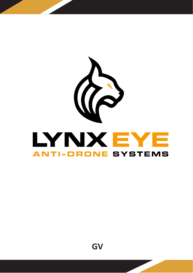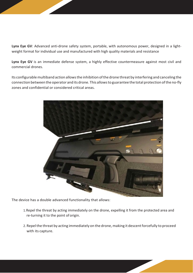**Lynx Eye GV**: Advanced anti-drone safety system, portable, with autonomous power, designed in a lightweight format for individual use and manufactured with high quality materials and resistance

**Lynx Eye GV** is an immediate defense system, a highly effective countermeasure against most civil and commercial drones.

Its configurable multiband action allows the inhibition of the drone threat by interfering and canceling the connection between the operator and its drone. This allowsto guarantee the total protection ofthe no-fly zones and confidential or considered critical areas.



The device has a double advanced functionality that allows:

- 1.Repel the threat by acting immediately on the drone, expelling it from the protected area and re-turning it to the point of origin.
- 2. Repel the threat by acting immediately on the drone, making it descent forcefully to proceed with its capture.